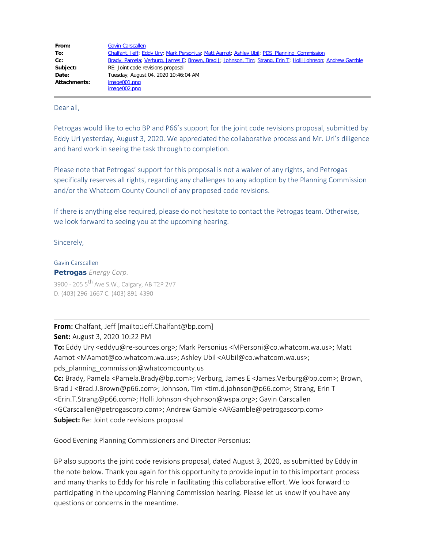| From:        | <b>Gavin Carscallen</b>                                                                                    |
|--------------|------------------------------------------------------------------------------------------------------------|
| To:          | Chalfant, Jeff; Eddy Ury; Mark Personius; Matt Aamot; Ashley Ubil; PDS Planning Commission                 |
| Cc:          | Brady, Pamela; Verburg, James E; Brown, Brad J; Johnson, Tim; Strang, Erin T; Holli Johnson; Andrew Gamble |
| Subject:     | RE: Joint code revisions proposal                                                                          |
| Date:        | Tuesday, August 04, 2020 10:46:04 AM                                                                       |
| Attachments: | image001.png                                                                                               |
|              | image002.png                                                                                               |

Dear all,

Petrogas would like to echo BP and P66's support for the joint code revisions proposal, submitted by Eddy Uri yesterday, August 3, 2020. We appreciated the collaborative process and Mr. Uri's diligence and hard work in seeing the task through to completion.

Please note that Petrogas' support for this proposal is not a waiver of any rights, and Petrogas specifically reserves all rights, regarding any challenges to any adoption by the Planning Commission and/or the Whatcom County Council of any proposed code revisions.

If there is anything else required, please do not hesitate to contact the Petrogas team. Otherwise, we look forward to seeing you at the upcoming hearing.

Sincerely,

Gavin Carscallen Petrogas *Energy Corp.* 3900 - 205 5<sup>th</sup> Ave S.W., Calgary, AB T2P 2V7 D. (403) 296-1667 C. (403) 891-4390

**From:** Chalfant, Jeff [mailto:Jeff.Chalfant@bp.com] **Sent:** August 3, 2020 10:22 PM

**To:** Eddy Ury <eddyu@re-sources.org>; Mark Personius <MPersoni@co.whatcom.wa.us>; Matt Aamot <MAamot@co.whatcom.wa.us>; Ashley Ubil <AUbil@co.whatcom.wa.us>; pds\_planning\_commission@whatcomcounty.us **Cc:** Brady, Pamela <Pamela.Brady@bp.com>; Verburg, James E <James.Verburg@bp.com>; Brown, Brad J <Brad.J.Brown@p66.com>; Johnson, Tim <tim.d.johnson@p66.com>; Strang, Erin T

<Erin.T.Strang@p66.com>; Holli Johnson <hjohnson@wspa.org>; Gavin Carscallen <GCarscallen@petrogascorp.com>; Andrew Gamble <ARGamble@petrogascorp.com> **Subject:** Re: Joint code revisions proposal

Good Evening Planning Commissioners and Director Personius:

BP also supports the joint code revisions proposal, dated August 3, 2020, as submitted by Eddy in the note below. Thank you again for this opportunity to provide input in to this important process and many thanks to Eddy for his role in facilitating this collaborative effort. We look forward to participating in the upcoming Planning Commission hearing. Please let us know if you have any questions or concerns in the meantime.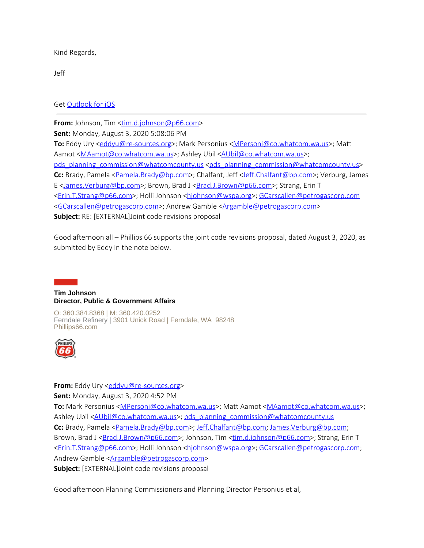Kind Regards,

Jeff

Get [Outlook for iOS](https://nam03.safelinks.protection.outlook.com/?url=https%3A%2F%2Faka.ms%2Fo0ukef&data=02%7C01%7CMAamot%40co.whatcom.wa.us%7Cc51352d3e03b46f45c2308d8389e3f46%7C2122bbce9a1d4565931b0c534ef12e43%7C0%7C0%7C637321599618079228&sdata=j%2BxtOOl3%2B2xtcpnwXcc3Q22LsnbVTy4eIkRw8vyggYk%3D&reserved=0)

**From:** Johnson, Tim [<tim.d.johnson@p66.com](mailto:tim.d.johnson@p66.com)> **Sent:** Monday, August 3, 2020 5:08:06 PM **To:** Eddy Ury [<eddyu@re-sources.org](mailto:eddyu@re-sources.org)>; Mark Personius <[MPersoni@co.whatcom.wa.us](mailto:MPersoni@co.whatcom.wa.us)>; Matt Aamot [<MAamot@co.whatcom.wa.us](mailto:MAamot@co.whatcom.wa.us)>; Ashley Ubil <[AUbil@co.whatcom.wa.us>](mailto:AUbil@co.whatcom.wa.us); [pds\\_planning\\_commission@whatcomcounty.us](mailto:pds_planning_commission@whatcomcounty.us) [<pds\\_planning\\_commission@whatcomcounty.us](mailto:pds_planning_commission@whatcomcounty.us)> Cc: Brady, Pamela [<Pamela.Brady@bp.com](mailto:Pamela.Brady@bp.com)>; Chalfant, Jeff [<Jeff.Chalfant@bp.com](mailto:Jeff.Chalfant@bp.com)>; Verburg, James E <[James.Verburg@bp.com](mailto:James.Verburg@bp.com)>; Brown, Brad J <[Brad.J.Brown@p66.com>](mailto:Brad.J.Brown@p66.com); Strang, Erin T [<Erin.T.Strang@p66.com](mailto:Erin.T.Strang@p66.com)>; Holli Johnson [<hjohnson@wspa.org](mailto:hjohnson@wspa.org)>; [GCarscallen@petrogascorp.com](mailto:GCarscallen@petrogascorp.com) [<GCarscallen@petrogascorp.com](mailto:GCarscallen@petrogascorp.com)>; Andrew Gamble [<Argamble@petrogascorp.com](mailto:Argamble@petrogascorp.com)> **Subject:** RE: [EXTERNAL]Joint code revisions proposal

Good afternoon all – Phillips 66 supports the joint code revisions proposal, dated August 3, 2020, as submitted by Eddy in the note below.

## **Tim Johnson Director, Public & Government Affairs**

O: 360.384.8368 | M: 360.420.0252 Ferndale Refinery | 3901 Unick Road | Ferndale, WA 98248 [Phillips66.com](https://nam03.safelinks.protection.outlook.com/?url=https%3A%2F%2Fwww.phillips66.com%2F&data=02%7C01%7CMAamot%40co.whatcom.wa.us%7Cc51352d3e03b46f45c2308d8389e3f46%7C2122bbce9a1d4565931b0c534ef12e43%7C0%7C0%7C637321599618089186&sdata=YaGHKENZvjQt55%2FNBP2ICN5zNWSE0laM0iPtW%2BMiu6k%3D&reserved=0)



### **From:** Eddy Ury <**[eddyu@re-sources.org](mailto:eddyu@re-sources.org)>**

**Sent:** Monday, August 3, 2020 4:52 PM

**To:** Mark Personius [<MPersoni@co.whatcom.wa.us](mailto:MPersoni@co.whatcom.wa.us)>; Matt Aamot [<MAamot@co.whatcom.wa.us](mailto:MAamot@co.whatcom.wa.us)>; Ashley Ubil [<AUbil@co.whatcom.wa.us](mailto:AUbil@co.whatcom.wa.us)>; [pds\\_planning\\_commission@whatcomcounty.us](mailto:pds_planning_commission@whatcomcounty.us) **Cc:** Brady, Pamela [<Pamela.Brady@bp.com](mailto:Pamela.Brady@bp.com)>; [Jeff.Chalfant@bp.com](mailto:Jeff.Chalfant@bp.com); [James.Verburg@bp.com](mailto:James.Verburg@bp.com); Brown, Brad J <**Brad.J.Brown@p66.com**>; Johnson, Tim <*tim.d.johnson@p66.com*>; Strang, Erin T [<Erin.T.Strang@p66.com](mailto:Erin.T.Strang@p66.com)>; Holli Johnson [<hjohnson@wspa.org](mailto:hjohnson@wspa.org)>; [GCarscallen@petrogascorp.com;](mailto:GCarscallen@petrogascorp.com) Andrew Gamble <**Argamble@petrogascorp.com>** 

**Subject:** [EXTERNAL]Joint code revisions proposal

Good afternoon Planning Commissioners and Planning Director Personius et al,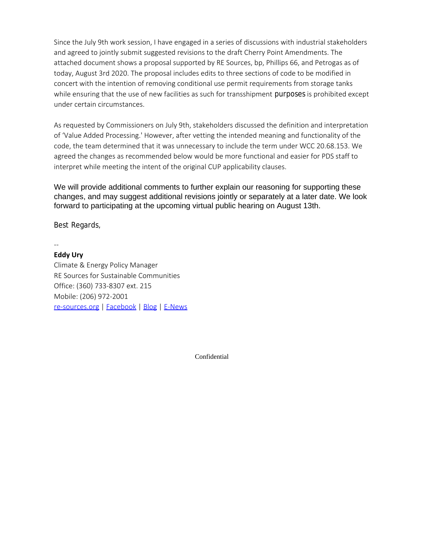Since the July 9th work session, I have engaged in a series of discussions with industrial stakeholders and agreed to jointly submit suggested revisions to the draft Cherry Point Amendments. The attached document shows a proposal supported by RE Sources, bp, Phillips 66, and Petrogas as of today, August 3rd 2020. The proposal includes edits to three sections of code to be modified in concert with the intention of removing conditional use permit requirements from storage tanks while ensuring that the use of new facilities as such for transshipment purposes is prohibited except under certain circumstances.

As requested by Commissioners on July 9th, stakeholders discussed the definition and interpretation of 'Value Added Processing.' However, after vetting the intended meaning and functionality of the code, the team determined that it was unnecessary to include the term under WCC 20.68.153. We agreed the changes as recommended below would be more functional and easier for PDS staff to interpret while meeting the intent of the original CUP applicability clauses.

We will provide additional comments to further explain our reasoning for supporting these changes, and may suggest additional revisions jointly or separately at a later date. We look forward to participating at the upcoming virtual public hearing on August 13th.

Best Regards,

--

**Eddy Ury** Climate & Energy Policy Manager RE Sources for Sustainable Communities Office: (360) 733-8307 ext. 215 Mobile: (206) 972-2001 [re-sources.org](https://nam03.safelinks.protection.outlook.com/?url=https%3A%2F%2Furldefense.com%2Fv3%2F__http%3A%2Fbit.ly%2Fre-sources-org__%3B!!BNz2GT-dGXHFnI4!eyQpxjHdiVGOPAvfX4x9YpG8T2gOQRlHpmgdAMYtsqDm-_PB5iAeZopRavby6L_fUPg%24&data=02%7C01%7CMAamot%40co.whatcom.wa.us%7Cc51352d3e03b46f45c2308d8389e3f46%7C2122bbce9a1d4565931b0c534ef12e43%7C0%7C0%7C637321599618089186&sdata=BqTQCvZglbqzors6L5ZfXa4h9ZJMd%2BDuM%2BDr7PaL8II%3D&reserved=0) | [Facebook](https://nam03.safelinks.protection.outlook.com/?url=https%3A%2F%2Furldefense.com%2Fv3%2F__http%3A%2Fbit.ly%2Fre-sources-fb__%3B!!BNz2GT-dGXHFnI4!eyQpxjHdiVGOPAvfX4x9YpG8T2gOQRlHpmgdAMYtsqDm-_PB5iAeZopRavbywRAxsvg%24&data=02%7C01%7CMAamot%40co.whatcom.wa.us%7Cc51352d3e03b46f45c2308d8389e3f46%7C2122bbce9a1d4565931b0c534ef12e43%7C0%7C0%7C637321599618099138&sdata=arhYjJezUihW7%2F2jeVW1EeG9SmmZz%2FtPJAl%2B5%2BksQyk%3D&reserved=0) | [Blog](https://nam03.safelinks.protection.outlook.com/?url=https%3A%2F%2Furldefense.com%2Fv3%2F__http%3A%2Fbit.ly%2Fclean-energy-blog__%3B!!BNz2GT-dGXHFnI4!eyQpxjHdiVGOPAvfX4x9YpG8T2gOQRlHpmgdAMYtsqDm-_PB5iAeZopRavbyd3z2tFw%24&data=02%7C01%7CMAamot%40co.whatcom.wa.us%7Cc51352d3e03b46f45c2308d8389e3f46%7C2122bbce9a1d4565931b0c534ef12e43%7C0%7C0%7C637321599618109109&sdata=Y4DCO1PHpYqaUsAhwipa1AP1cFpe5CwKxhXhtpBuBm4%3D&reserved=0) | [E-News](https://nam03.safelinks.protection.outlook.com/?url=https%3A%2F%2Furldefense.com%2Fv3%2F__http%3A%2Fbit.ly%2Fre-sources-news__%3B!!BNz2GT-dGXHFnI4!eyQpxjHdiVGOPAvfX4x9YpG8T2gOQRlHpmgdAMYtsqDm-_PB5iAeZopRavby3BqfTH0%24&data=02%7C01%7CMAamot%40co.whatcom.wa.us%7Cc51352d3e03b46f45c2308d8389e3f46%7C2122bbce9a1d4565931b0c534ef12e43%7C0%7C0%7C637321599618109109&sdata=9UbnL2fB7mC%2BckNEJ%2BxC%2F8w4irpAxAcdrSjRi2oE%2BLE%3D&reserved=0)

Confidential